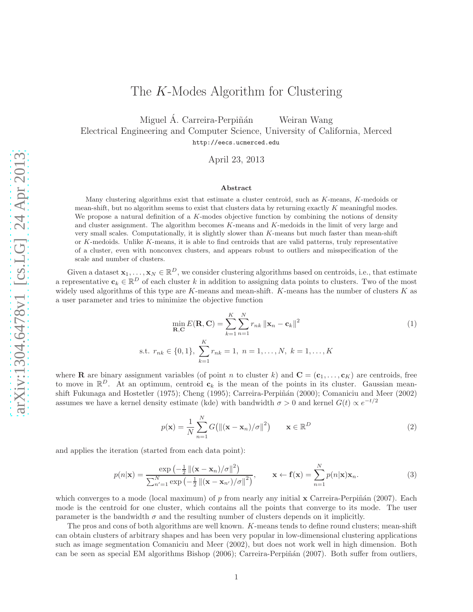# The K-Modes Algorithm for Clustering

Miguel Á. Carreira-Perpiñán Weiran Wang

Electrical Engineering and Computer Science, University of California, Merced http://eecs.ucmerced.edu

April 23, 2013

### Abstract

Many clustering algorithms exist that estimate a cluster centroid, such as  $K$ -means,  $K$ -medoids or mean-shift, but no algorithm seems to exist that clusters data by returning exactly K meaningful modes. We propose a natural definition of a  $K$ -modes objective function by combining the notions of density and cluster assignment. The algorithm becomes K-means and K-medoids in the limit of very large and very small scales. Computationally, it is slightly slower than K-means but much faster than mean-shift or K-medoids. Unlike K-means, it is able to find centroids that are valid patterns, truly representative of a cluster, even with nonconvex clusters, and appears robust to outliers and misspecification of the scale and number of clusters.

Given a dataset  $\mathbf{x}_1, \ldots, \mathbf{x}_N \in \mathbb{R}^D$ , we consider clustering algorithms based on centroids, i.e., that estimate a representative  $c_k \in \mathbb{R}^D$  of each cluster k in addition to assigning data points to clusters. Two of the most widely used algorithms of this type are K-means and mean-shift. K-means has the number of clusters  $K$  as a user parameter and tries to minimize the objective function

$$
\min_{\mathbf{R}, \mathbf{C}} E(\mathbf{R}, \mathbf{C}) = \sum_{k=1}^{K} \sum_{n=1}^{N} r_{nk} ||\mathbf{x}_n - \mathbf{c}_k||^2
$$
\ns.t.  $r_{nk} \in \{0, 1\}, \sum_{k=1}^{K} r_{nk} = 1, n = 1, ..., N, k = 1, ..., K$  (1)

where **R** are binary assignment variables (of point *n* to cluster k) and  $\mathbf{C} = (\mathbf{c}_1, \dots, \mathbf{c}_K)$  are centroids, free to move in  $\mathbb{R}^D$ . At an optimum, centroid  $c_k$  is the mean of the points in its cluster. Gaussian meanshift Fukunaga and Hostetler (1975); Cheng (1995); Carreira-Perpiñán (2000); Comaniciu and Meer (2002) assumes we have a kernel density estimate (kde) with bandwidth  $\sigma > 0$  and kernel  $G(t) \propto e^{-t/2}$ 

$$
p(\mathbf{x}) = \frac{1}{N} \sum_{n=1}^{N} G\big(\|(\mathbf{x} - \mathbf{x}_n)/\sigma\|^2\big) \qquad \mathbf{x} \in \mathbb{R}^D \tag{2}
$$

and applies the iteration (started from each data point):

$$
p(n|\mathbf{x}) = \frac{\exp\left(-\frac{1}{2} \left\|(\mathbf{x} - \mathbf{x}_n)/\sigma\right\|^2\right)}{\sum_{n'=1}^N \exp\left(-\frac{1}{2} \left\|(\mathbf{x} - \mathbf{x}_{n'})/\sigma\right\|^2\right)}, \qquad \mathbf{x} \leftarrow \mathbf{f}(\mathbf{x}) = \sum_{n=1}^N p(n|\mathbf{x})\mathbf{x}_n.
$$
 (3)

which converges to a mode (local maximum) of  $p$  from nearly any initial  $x$  Carreira-Perpiñán (2007). Each mode is the centroid for one cluster, which contains all the points that converge to its mode. The user parameter is the bandwidth  $\sigma$  and the resulting number of clusters depends on it implicitly.

The pros and cons of both algorithms are well known. K-means tends to define round clusters; mean-shift can obtain clusters of arbitrary shapes and has been very popular in low-dimensional clustering applications such as image segmentation Comaniciu and Meer (2002), but does not work well in high dimension. Both can be seen as special EM algorithms Bishop (2006); Carreira-Perpiñán (2007). Both suffer from outliers,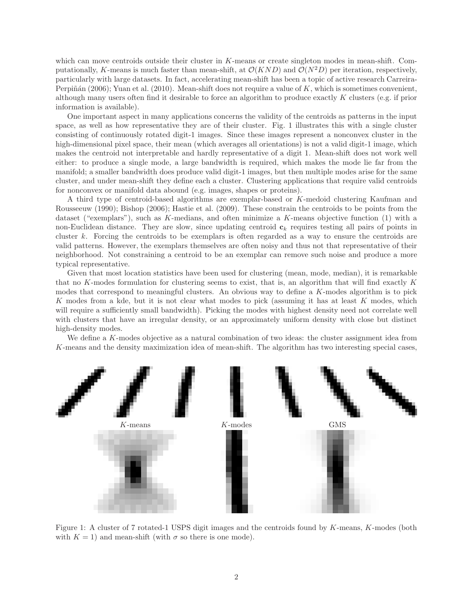which can move centroids outside their cluster in K-means or create singleton modes in mean-shift. Computationally, K-means is much faster than mean-shift, at  $\mathcal{O}(KND)$  and  $\mathcal{O}(N^2D)$  per iteration, respectively, particularly with large datasets. In fact, accelerating mean-shift has been a topic of active research Carreira-Perpiñán (2006); Yuan et al. (2010). Mean-shift does not require a value of K, which is sometimes convenient, although many users often find it desirable to force an algorithm to produce exactly K clusters (e.g. if prior information is available).

One important aspect in many applications concerns the validity of the centroids as patterns in the input space, as well as how representative they are of their cluster. Fig. 1 illustrates this with a single cluster consisting of continuously rotated digit-1 images. Since these images represent a nonconvex cluster in the high-dimensional pixel space, their mean (which averages all orientations) is not a valid digit-1 image, which makes the centroid not interpretable and hardly representative of a digit 1. Mean-shift does not work well either: to produce a single mode, a large bandwidth is required, which makes the mode lie far from the manifold; a smaller bandwidth does produce valid digit-1 images, but then multiple modes arise for the same cluster, and under mean-shift they define each a cluster. Clustering applications that require valid centroids for nonconvex or manifold data abound (e.g. images, shapes or proteins).

A third type of centroid-based algorithms are exemplar-based or K-medoid clustering Kaufman and Rousseeuw (1990); Bishop (2006); Hastie et al. (2009). These constrain the centroids to be points from the dataset ("exemplars"), such as K-medians, and often minimize a K-means objective function  $(1)$  with a non-Euclidean distance. They are slow, since updating centroid  $c_k$  requires testing all pairs of points in cluster k. Forcing the centroids to be exemplars is often regarded as a way to ensure the centroids are valid patterns. However, the exemplars themselves are often noisy and thus not that representative of their neighborhood. Not constraining a centroid to be an exemplar can remove such noise and produce a more typical representative.

Given that most location statistics have been used for clustering (mean, mode, median), it is remarkable that no K-modes formulation for clustering seems to exist, that is, an algorithm that will find exactly K modes that correspond to meaningful clusters. An obvious way to define a K-modes algorithm is to pick K modes from a kde, but it is not clear what modes to pick (assuming it has at least K modes, which will require a sufficiently small bandwidth). Picking the modes with highest density need not correlate well with clusters that have an irregular density, or an approximately uniform density with close but distinct high-density modes.

We define a K-modes objective as a natural combination of two ideas: the cluster assignment idea from K-means and the density maximization idea of mean-shift. The algorithm has two interesting special cases,



Figure 1: A cluster of 7 rotated-1 USPS digit images and the centroids found by K-means, K-modes (both with  $K = 1$ ) and mean-shift (with  $\sigma$  so there is one mode).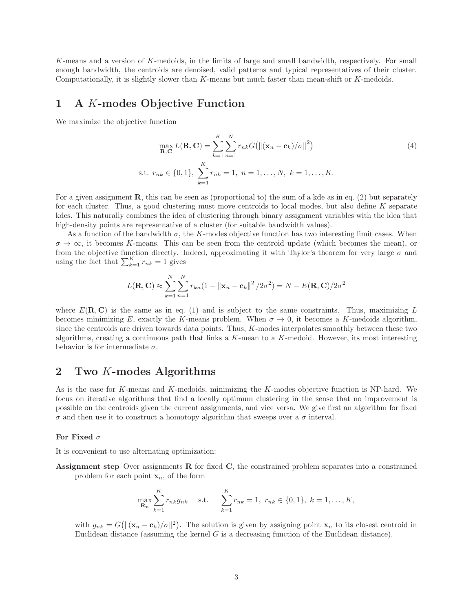K-means and a version of K-medoids, in the limits of large and small bandwidth, respectively. For small enough bandwidth, the centroids are denoised, valid patterns and typical representatives of their cluster. Computationally, it is slightly slower than  $K$ -means but much faster than mean-shift or  $K$ -medoids.

# 1 A K-modes Objective Function

We maximize the objective function

$$
\max_{\mathbf{R}, \mathbf{C}} L(\mathbf{R}, \mathbf{C}) = \sum_{k=1}^{K} \sum_{n=1}^{N} r_{nk} G(||(\mathbf{x}_n - \mathbf{c}_k)/\sigma||^2)
$$
(4)  
s.t.  $r_{nk} \in \{0, 1\}, \sum_{k=1}^{K} r_{nk} = 1, n = 1, ..., N, k = 1, ..., K.$ 

For a given assignment **R**, this can be seen as (proportional to) the sum of a kde as in eq. (2) but separately for each cluster. Thus, a good clustering must move centroids to local modes, but also define  $K$  separate kdes. This naturally combines the idea of clustering through binary assignment variables with the idea that high-density points are representative of a cluster (for suitable bandwidth values).

As a function of the bandwidth  $\sigma$ , the K-modes objective function has two interesting limit cases. When  $\sigma \to \infty$ , it becomes K-means. This can be seen from the centroid update (which becomes the mean), or from the objective function directly. Indeed, approximating it with Taylor's theorem for very large  $\sigma$  and using the fact that  $\sum_{k=1}^{K} r_{nk} = 1$  gives

$$
L(\mathbf{R}, \mathbf{C}) \approx \sum_{k=1}^{N} \sum_{n=1}^{N} r_{kn} (1 - ||\mathbf{x}_n - \mathbf{c}_k||^2 / 2\sigma^2) = N - E(\mathbf{R}, \mathbf{C}) / 2\sigma^2
$$

where  $E(\mathbf{R}, \mathbf{C})$  is the same as in eq. (1) and is subject to the same constraints. Thus, maximizing L becomes minimizing E, exactly the K-means problem. When  $\sigma \to 0$ , it becomes a K-medoids algorithm, since the centroids are driven towards data points. Thus,  $K$ -modes interpolates smoothly between these two algorithms, creating a continuous path that links a  $K$ -mean to a  $K$ -medoid. However, its most interesting behavior is for intermediate  $\sigma$ .

# 2 Two K-modes Algorithms

As is the case for K-means and K-medoids, minimizing the K-modes objective function is NP-hard. We focus on iterative algorithms that find a locally optimum clustering in the sense that no improvement is possible on the centroids given the current assignments, and vice versa. We give first an algorithm for fixed  $\sigma$  and then use it to construct a homotopy algorithm that sweeps over a  $\sigma$  interval.

### For Fixed  $\sigma$

It is convenient to use alternating optimization:

Assignment step Over assignments R for fixed C, the constrained problem separates into a constrained problem for each point  $x_n$ , of the form

$$
\max_{\mathbf{R}_n} \sum_{k=1}^K r_{nk} g_{nk} \quad \text{s.t.} \quad \sum_{k=1}^K r_{nk} = 1, \ r_{nk} \in \{0, 1\}, \ k = 1, \dots, K,
$$

with  $g_{nk} = G(||(\mathbf{x}_n - \mathbf{c}_k)/\sigma||^2)$ . The solution is given by assigning point  $\mathbf{x}_n$  to its closest centroid in Euclidean distance (assuming the kernel  $G$  is a decreasing function of the Euclidean distance).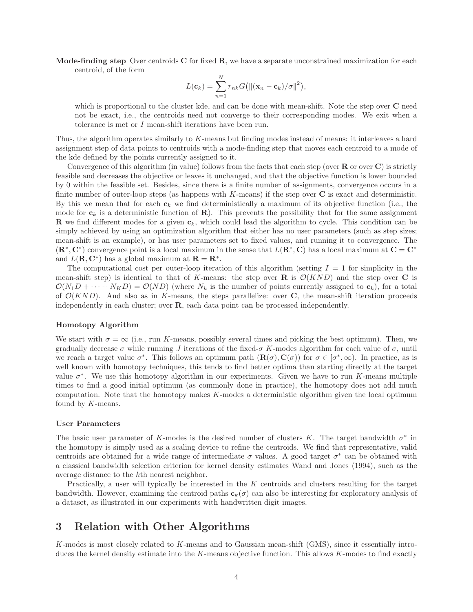**Mode-finding step** Over centroids  $C$  for fixed  $R$ , we have a separate unconstrained maximization for each centroid, of the form

$$
L(\mathbf{c}_k) = \sum_{n=1}^{N} r_{nk} G\big(\|(\mathbf{x}_n - \mathbf{c}_k)/\sigma\|^2\big),\,
$$

which is proportional to the cluster kde, and can be done with mean-shift. Note the step over C need not be exact, i.e., the centroids need not converge to their corresponding modes. We exit when a tolerance is met or I mean-shift iterations have been run.

Thus, the algorithm operates similarly to K-means but finding modes instead of means: it interleaves a hard assignment step of data points to centroids with a mode-finding step that moves each centroid to a mode of the kde defined by the points currently assigned to it.

Convergence of this algorithm (in value) follows from the facts that each step (over  $\bf{R}$  or over  $\bf{C}$ ) is strictly feasible and decreases the objective or leaves it unchanged, and that the objective function is lower bounded by 0 within the feasible set. Besides, since there is a finite number of assignments, convergence occurs in a finite number of outer-loop steps (as happens with  $K$ -means) if the step over  $C$  is exact and deterministic. By this we mean that for each  $c_k$  we find deterministically a maximum of its objective function (i.e., the mode for  $c_k$  is a deterministic function of  $\mathbf{R}$ ). This prevents the possibility that for the same assignment **R** we find different modes for a given  $c_k$ , which could lead the algorithm to cycle. This condition can be simply achieved by using an optimization algorithm that either has no user parameters (such as step sizes; mean-shift is an example), or has user parameters set to fixed values, and running it to convergence. The  $(\mathbf{R}^*, \mathbf{C}^*)$  convergence point is a local maximum in the sense that  $L(\mathbf{R}^*, \mathbf{C})$  has a local maximum at  $\mathbf{C} = \mathbf{C}^*$ and  $L(\mathbf{R}, \mathbf{C}^*)$  has a global maximum at  $\mathbf{R} = \mathbf{R}^*$ .

The computational cost per outer-loop iteration of this algorithm (setting  $I = 1$  for simplicity in the mean-shift step) is identical to that of K-means: the step over **R** is  $\mathcal{O}(KND)$  and the step over **C** is  $\mathcal{O}(N_1D + \cdots + N_KD) = \mathcal{O}(ND)$  (where  $N_k$  is the number of points currently assigned to  $\mathbf{c}_k$ ), for a total of  $\mathcal{O}(KND)$ . And also as in K-means, the steps parallelize: over C, the mean-shift iteration proceeds independently in each cluster; over R, each data point can be processed independently.

#### Homotopy Algorithm

We start with  $\sigma = \infty$  (i.e., run K-means, possibly several times and picking the best optimum). Then, we gradually decrease  $\sigma$  while running J iterations of the fixed- $\sigma$  K-modes algorithm for each value of  $\sigma$ , until we reach a target value  $\sigma^*$ . This follows an optimum path  $(\mathbf{R}(\sigma), \mathbf{C}(\sigma))$  for  $\sigma \in [\sigma^*, \infty)$ . In practice, as is well known with homotopy techniques, this tends to find better optima than starting directly at the target value  $\sigma^*$ . We use this homotopy algorithm in our experiments. Given we have to run K-means multiple times to find a good initial optimum (as commonly done in practice), the homotopy does not add much computation. Note that the homotopy makes K-modes a deterministic algorithm given the local optimum found by K-means.

### User Parameters

The basic user parameter of K-modes is the desired number of clusters K. The target bandwidth  $\sigma^*$  in the homotopy is simply used as a scaling device to refine the centroids. We find that representative, valid centroids are obtained for a wide range of intermediate  $\sigma$  values. A good target  $\sigma^*$  can be obtained with a classical bandwidth selection criterion for kernel density estimates Wand and Jones (1994), such as the average distance to the kth nearest neighbor.

Practically, a user will typically be interested in the K centroids and clusters resulting for the target bandwidth. However, examining the centroid paths  $c_k(\sigma)$  can also be interesting for exploratory analysis of a dataset, as illustrated in our experiments with handwritten digit images.

# 3 Relation with Other Algorithms

K-modes is most closely related to K-means and to Gaussian mean-shift (GMS), since it essentially introduces the kernel density estimate into the K-means objective function. This allows K-modes to find exactly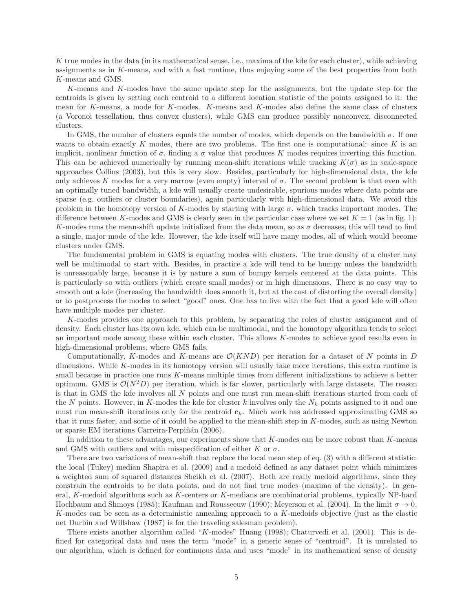K true modes in the data (in its mathematical sense, i.e., maxima of the kde for each cluster), while achieving assignments as in K-means, and with a fast runtime, thus enjoying some of the best properties from both K-means and GMS.

K-means and K-modes have the same update step for the assignments, but the update step for the centroids is given by setting each centroid to a different location statistic of the points assigned to it: the mean for K-means, a mode for K-modes. K-means and K-modes also define the same class of clusters (a Voronoi tessellation, thus convex clusters), while GMS can produce possibly nonconvex, disconnected clusters.

In GMS, the number of clusters equals the number of modes, which depends on the bandwidth  $\sigma$ . If one wants to obtain exactly  $K$  modes, there are two problems. The first one is computational: since  $K$  is an implicit, nonlinear function of  $\sigma$ , finding a  $\sigma$  value that produces K modes requires inverting this function. This can be achieved numerically by running mean-shift iterations while tracking  $K(\sigma)$  as in scale-space approaches Collins (2003), but this is very slow. Besides, particularly for high-dimensional data, the kde only achieves K modes for a very narrow (even empty) interval of  $\sigma$ . The second problem is that even with an optimally tuned bandwidth, a kde will usually create undesirable, spurious modes where data points are sparse (e.g. outliers or cluster boundaries), again particularly with high-dimensional data. We avoid this problem in the homotopy version of K-modes by starting with large  $\sigma$ , which tracks important modes. The difference between K-modes and GMS is clearly seen in the particular case where we set  $K = 1$  (as in fig. 1): K-modes runs the mean-shift update initialized from the data mean, so as  $\sigma$  decreases, this will tend to find a single, major mode of the kde. However, the kde itself will have many modes, all of which would become clusters under GMS.

The fundamental problem in GMS is equating modes with clusters. The true density of a cluster may well be multimodal to start with. Besides, in practice a kde will tend to be bumpy unless the bandwidth is unreasonably large, because it is by nature a sum of bumpy kernels centered at the data points. This is particularly so with outliers (which create small modes) or in high dimensions. There is no easy way to smooth out a kde (increasing the bandwidth does smooth it, but at the cost of distorting the overall density) or to postprocess the modes to select "good" ones. One has to live with the fact that a good kde will often have multiple modes per cluster.

K-modes provides one approach to this problem, by separating the roles of cluster assignment and of density. Each cluster has its own kde, which can be multimodal, and the homotopy algorithm tends to select an important mode among these within each cluster. This allows K-modes to achieve good results even in high-dimensional problems, where GMS fails.

Computationally, K-modes and K-means are  $\mathcal{O}(KND)$  per iteration for a dataset of N points in D dimensions. While K-modes in its homotopy version will usually take more iterations, this extra runtime is small because in practice one runs K-means multiple times from different initializations to achieve a better optimum. GMS is  $\mathcal{O}(N^2D)$  per iteration, which is far slower, particularly with large datasets. The reason is that in GMS the kde involves all N points and one must run mean-shift iterations started from each of the N points. However, in K-modes the kde for cluster k involves only the  $N_k$  points assigned to it and one must run mean-shift iterations only for the centroid  $c_k$ . Much work has addressed approximating GMS so that it runs faster, and some of it could be applied to the mean-shift step in K-modes, such as using Newton or sparse EM iterations Carreira-Perpiñán (2006).

In addition to these advantages, our experiments show that  $K$ -modes can be more robust than  $K$ -means and GMS with outliers and with misspecification of either K or  $\sigma$ .

There are two variations of mean-shift that replace the local mean step of eq. (3) with a different statistic: the local (Tukey) median Shapira et al. (2009) and a medoid defined as any dataset point which minimizes a weighted sum of squared distances Sheikh et al. (2007). Both are really medoid algorithms, since they constrain the centroids to be data points, and do not find true modes (maxima of the density). In general, K-medoid algorithms such as K-centers or K-medians are combinatorial problems, typically NP-hard Hochbaum and Shmoys (1985); Kaufman and Rousseeuw (1990); Meyerson et al. (2004). In the limit  $\sigma \to 0$ , K-modes can be seen as a deterministic annealing approach to a  $K$ -medoids objective (just as the elastic net Durbin and Willshaw (1987) is for the traveling salesman problem).

There exists another algorithm called "K-modes" Huang (1998); Chaturvedi et al. (2001). This is defined for categorical data and uses the term "mode" in a generic sense of "centroid". It is unrelated to our algorithm, which is defined for continuous data and uses "mode" in its mathematical sense of density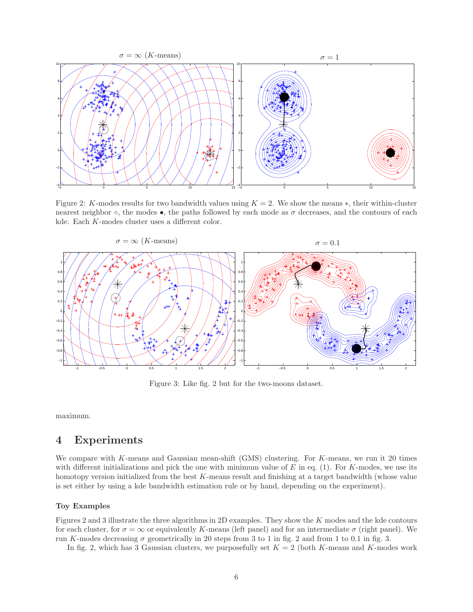

Figure 2: K-modes results for two bandwidth values using  $K = 2$ . We show the means \*, their within-cluster nearest neighbor  $\circ$ , the modes  $\bullet$ , the paths followed by each mode as  $\sigma$  decreases, and the contours of each kde. Each K-modes cluster uses a different color.



Figure 3: Like fig. 2 but for the two-moons dataset.

maximum.

# 4 Experiments

We compare with K-means and Gaussian mean-shift (GMS) clustering. For K-means, we run it 20 times with different initializations and pick the one with minimum value of  $E$  in eq. (1). For  $K$ -modes, we use its homotopy version initialized from the best  $K$ -means result and finishing at a target bandwidth (whose value is set either by using a kde bandwidth estimation rule or by hand, depending on the experiment).

### Toy Examples

Figures 2 and 3 illustrate the three algorithms in 2D examples. They show the K modes and the kde contours for each cluster, for  $\sigma = \infty$  or equivalently K-means (left panel) and for an intermediate  $\sigma$  (right panel). We run K-modes decreasing  $\sigma$  geometrically in 20 steps from 3 to 1 in fig. 2 and from 1 to 0.1 in fig. 3.

In fig. 2, which has 3 Gaussian clusters, we purposefully set  $K = 2$  (both K-means and K-modes work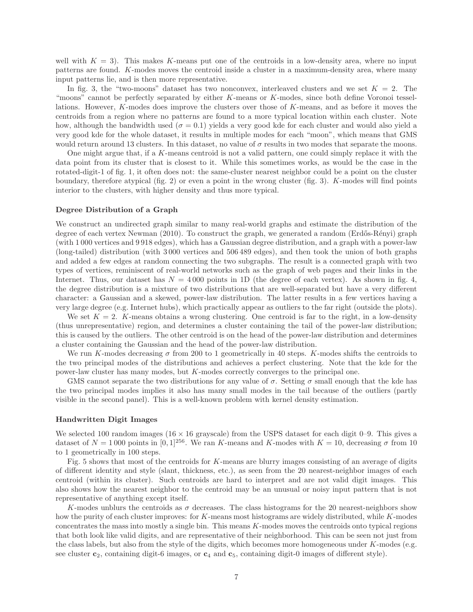well with  $K = 3$ ). This makes K-means put one of the centroids in a low-density area, where no input patterns are found. K-modes moves the centroid inside a cluster in a maximum-density area, where many input patterns lie, and is then more representative.

In fig. 3, the "two-moons" dataset has two nonconvex, interleaved clusters and we set  $K = 2$ . The "moons" cannot be perfectly separated by either K-means or K-modes, since both define Voronoi tessellations. However, K-modes does improve the clusters over those of K-means, and as before it moves the centroids from a region where no patterns are found to a more typical location within each cluster. Note how, although the bandwidth used ( $\sigma = 0.1$ ) yields a very good kde for each cluster and would also yield a very good kde for the whole dataset, it results in multiple modes for each "moon", which means that GMS would return around 13 clusters. In this dataset, no value of  $\sigma$  results in two modes that separate the moons.

One might argue that, if a K-means centroid is not a valid pattern, one could simply replace it with the data point from its cluster that is closest to it. While this sometimes works, as would be the case in the rotated-digit-1 of fig. 1, it often does not: the same-cluster nearest neighbor could be a point on the cluster boundary, therefore atypical (fig. 2) or even a point in the wrong cluster (fig. 3). K-modes will find points interior to the clusters, with higher density and thus more typical.

#### Degree Distribution of a Graph

We construct an undirected graph similar to many real-world graphs and estimate the distribution of the degree of each vertex Newman (2010). To construct the graph, we generated a random (Erdős-Rényi) graph (with 1 000 vertices and 9 918 edges), which has a Gaussian degree distribution, and a graph with a power-law (long-tailed) distribution (with 3 000 vertices and 506 489 edges), and then took the union of both graphs and added a few edges at random connecting the two subgraphs. The result is a connected graph with two types of vertices, reminiscent of real-world networks such as the graph of web pages and their links in the Internet. Thus, our dataset has  $N = 4000$  points in 1D (the degree of each vertex). As shown in fig. 4, the degree distribution is a mixture of two distributions that are well-separated but have a very different character: a Gaussian and a skewed, power-law distribution. The latter results in a few vertices having a very large degree (e.g. Internet hubs), which practically appear as outliers to the far right (outside the plots).

We set  $K = 2$ . K-means obtains a wrong clustering. One centroid is far to the right, in a low-density (thus unrepresentative) region, and determines a cluster containing the tail of the power-law distribution; this is caused by the outliers. The other centroid is on the head of the power-law distribution and determines a cluster containing the Gaussian and the head of the power-law distribution.

We run K-modes decreasing  $\sigma$  from 200 to 1 geometrically in 40 steps. K-modes shifts the centroids to the two principal modes of the distributions and achieves a perfect clustering. Note that the kde for the power-law cluster has many modes, but K-modes correctly converges to the principal one.

GMS cannot separate the two distributions for any value of  $\sigma$ . Setting  $\sigma$  small enough that the kde has the two principal modes implies it also has many small modes in the tail because of the outliers (partly visible in the second panel). This is a well-known problem with kernel density estimation.

### Handwritten Digit Images

We selected 100 random images (16  $\times$  16 grayscale) from the USPS dataset for each digit 0–9. This gives a dataset of  $N = 1000$  points in [0, 1]<sup>256</sup>. We ran K-means and K-modes with  $K = 10$ , decreasing  $\sigma$  from 10 to 1 geometrically in 100 steps.

Fig. 5 shows that most of the centroids for K-means are blurry images consisting of an average of digits of different identity and style (slant, thickness, etc.), as seen from the 20 nearest-neighbor images of each centroid (within its cluster). Such centroids are hard to interpret and are not valid digit images. This also shows how the nearest neighbor to the centroid may be an unusual or noisy input pattern that is not representative of anything except itself.

K-modes unblurs the centroids as  $\sigma$  decreases. The class histograms for the 20 nearest-neighbors show how the purity of each cluster improves: for K-means most histograms are widely distributed, while K-modes concentrates the mass into mostly a single bin. This means K-modes moves the centroids onto typical regions that both look like valid digits, and are representative of their neighborhood. This can be seen not just from the class labels, but also from the style of the digits, which becomes more homogeneous under  $K$ -modes (e.g. see cluster  $c_2$ , containing digit-6 images, or  $c_4$  and  $c_5$ , containing digit-0 images of different style).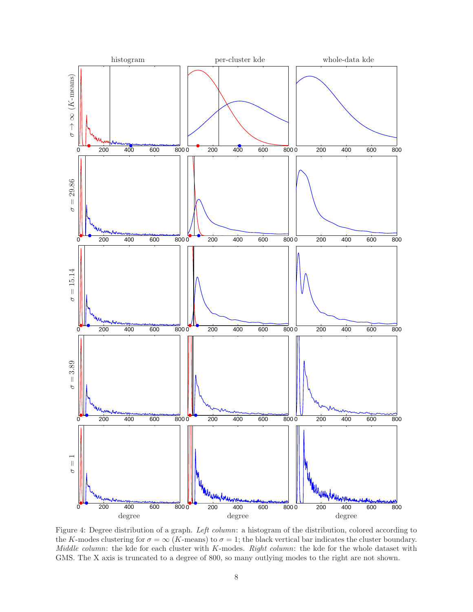

Figure 4: Degree distribution of a graph. *Left column*: a histogram of the distribution, colored according to the K-modes clustering for  $\sigma = \infty$  (K-means) to  $\sigma = 1$ ; the black vertical bar indicates the cluster boundary. *Middle column*: the kde for each cluster with K-modes. *Right column*: the kde for the whole dataset with GMS. The X axis is truncated to a degree of 800, so many outlying modes to the right are not shown.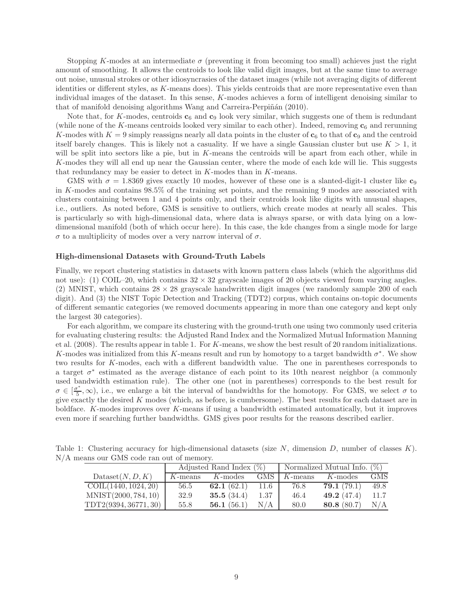Stopping K-modes at an intermediate  $\sigma$  (preventing it from becoming too small) achieves just the right amount of smoothing. It allows the centroids to look like valid digit images, but at the same time to average out noise, unusual strokes or other idiosyncrasies of the dataset images (while not averaging digits of different identities or different styles, as K-means does). This yields centroids that are more representative even than individual images of the dataset. In this sense, K-modes achieves a form of intelligent denoising similar to that of manifold denoising algorithms Wang and Carreira-Perpiñán (2010).

Note that, for K-modes, centroids  $\mathbf{c}_6$  and  $\mathbf{c}_9$  look very similar, which suggests one of them is redundant (while none of the K-means centroids looked very similar to each other). Indeed, removing  $c_6$  and rerunning K-modes with  $K = 9$  simply reassigns nearly all data points in the cluster of  $c_6$  to that of  $c_9$  and the centroid itself barely changes. This is likely not a casuality. If we have a single Gaussian cluster but use  $K > 1$ , it will be split into sectors like a pie, but in K-means the centroids will be apart from each other, while in K-modes they will all end up near the Gaussian center, where the mode of each kde will lie. This suggests that redundancy may be easier to detect in  $K$ -modes than in  $K$ -means.

GMS with  $\sigma = 1.8369$  gives exactly 10 modes, however of these one is a slanted-digit-1 cluster like  $c_9$ in K-modes and contains 98.5% of the training set points, and the remaining 9 modes are associated with clusters containing between 1 and 4 points only, and their centroids look like digits with unusual shapes, i.e., outliers. As noted before, GMS is sensitive to outliers, which create modes at nearly all scales. This is particularly so with high-dimensional data, where data is always sparse, or with data lying on a lowdimensional manifold (both of which occur here). In this case, the kde changes from a single mode for large σ to a multiplicity of modes over a very narrow interval of σ.

#### High-dimensional Datasets with Ground-Truth Labels

Finally, we report clustering statistics in datasets with known pattern class labels (which the algorithms did not use): (1) COIL–20, which contains  $32 \times 32$  grayscale images of 20 objects viewed from varying angles. (2) MNIST, which contains  $28 \times 28$  grayscale handwritten digit images (we randomly sample 200 of each digit). And (3) the NIST Topic Detection and Tracking (TDT2) corpus, which contains on-topic documents of different semantic categories (we removed documents appearing in more than one category and kept only the largest 30 categories).

For each algorithm, we compare its clustering with the ground-truth one using two commonly used criteria for evaluating clustering results: the Adjusted Rand Index and the Normalized Mutual Information Manning et al. (2008). The results appear in table 1. For K-means, we show the best result of 20 random initializations. K-modes was initialized from this K-means result and run by homotopy to a target bandwidth  $\sigma^*$ . We show two results for K-modes, each with a different bandwidth value. The one in parentheses corresponds to a target  $\sigma^*$  estimated as the average distance of each point to its 10th nearest neighbor (a commonly used bandwidth estimation rule). The other one (not in parentheses) corresponds to the best result for  $\sigma \in [\frac{\sigma^*}{5}]$  $(\bar{5}, \infty)$ , i.e., we enlarge a bit the interval of bandwidths for the homotopy. For GMS, we select  $\sigma$  to give exactly the desired  $K$  modes (which, as before, is cumbersome). The best results for each dataset are in boldface. K-modes improves over K-means if using a bandwidth estimated automatically, but it improves even more if searching further bandwidths. GMS gives poor results for the reasons described earlier.

| Table 1: Clustering accuracy for high-dimensional datasets (size $N$ , dimension $D$ , number of classes $K$ ). |  |  |  |  |
|-----------------------------------------------------------------------------------------------------------------|--|--|--|--|
| N/A means our GMS code ran out of memory.                                                                       |  |  |  |  |

|                            | Adjusted Rand Index $(\%)$ |               |            | Normalized Mutual Info. $(\%)$ |               |            |  |
|----------------------------|----------------------------|---------------|------------|--------------------------------|---------------|------------|--|
| $\text{Database}(N, D, K)$ | $K$ -means                 | $K$ -modes    | <b>GMS</b> | $K$ -means                     | K-modes       | <b>GMS</b> |  |
| COLL(1440, 1024, 20)       | 56.5                       | 62.1 $(62.1)$ | 11.6       | 76.8                           | 79.1(79.1)    | 49.8       |  |
| MNIST(2000, 784, 10)       | 32.9                       | 35.5 $(34.4)$ | 1.37       | 46.4                           | 49.2 $(47.4)$ | 11.7       |  |
| TDT2(9394, 36771, 30)      | 55.8                       | 56.1 $(56.1)$ | N/A        | 80.0                           | 80.8 (80.7)   | N/A        |  |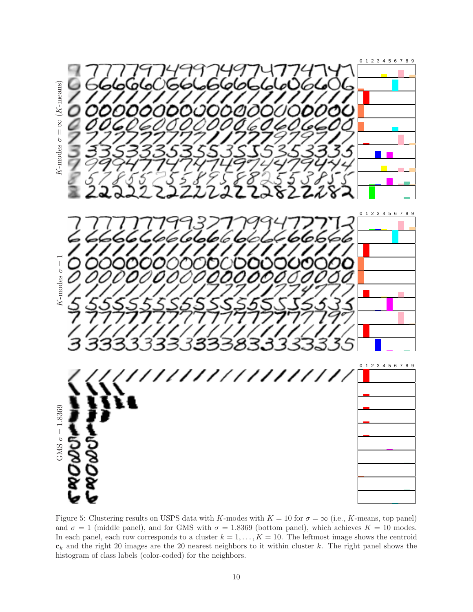

Figure 5: Clustering results on USPS data with K-modes with  $K = 10$  for  $\sigma = \infty$  (i.e., K-means, top panel) and  $\sigma = 1$  (middle panel), and for GMS with  $\sigma = 1.8369$  (bottom panel), which achieves  $K = 10$  modes. In each panel, each row corresponds to a cluster  $k = 1, ..., K = 10$ . The leftmost image shows the centroid  $c_k$  and the right 20 images are the 20 nearest neighbors to it within cluster k. The right panel shows the histogram of class labels (color-coded) for the neighbors.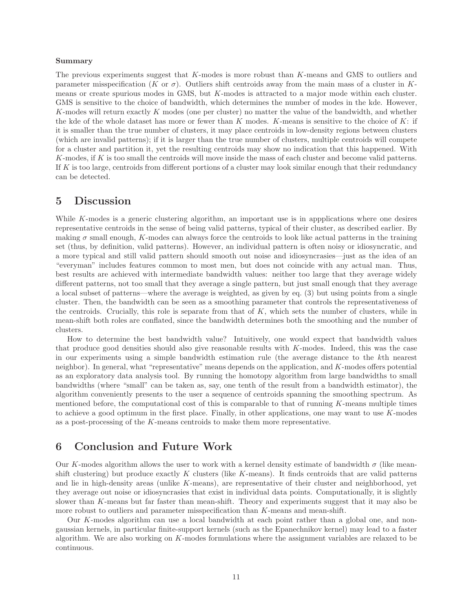### Summary

The previous experiments suggest that K-modes is more robust than K-means and GMS to outliers and parameter misspecification (K or  $\sigma$ ). Outliers shift centroids away from the main mass of a cluster in Kmeans or create spurious modes in GMS, but K-modes is attracted to a major mode within each cluster. GMS is sensitive to the choice of bandwidth, which determines the number of modes in the kde. However, K-modes will return exactly K modes (one per cluster) no matter the value of the bandwidth, and whether the kde of the whole dataset has more or fewer than  $K$  modes.  $K$ -means is sensitive to the choice of  $K$ : if it is smaller than the true number of clusters, it may place centroids in low-density regions between clusters (which are invalid patterns); if it is larger than the true number of clusters, multiple centroids will compete for a cluster and partition it, yet the resulting centroids may show no indication that this happened. With K-modes, if K is too small the centroids will move inside the mass of each cluster and become valid patterns. If K is too large, centroids from different portions of a cluster may look similar enough that their redundancy can be detected.

# 5 Discussion

While K-modes is a generic clustering algorithm, an important use is in appplications where one desires representative centroids in the sense of being valid patterns, typical of their cluster, as described earlier. By making  $\sigma$  small enough, K-modes can always force the centroids to look like actual patterns in the training set (thus, by definition, valid patterns). However, an individual pattern is often noisy or idiosyncratic, and a more typical and still valid pattern should smooth out noise and idiosyncrasies—just as the idea of an "everyman" includes features common to most men, but does not coincide with any actual man. Thus, best results are achieved with intermediate bandwidth values: neither too large that they average widely different patterns, not too small that they average a single pattern, but just small enough that they average a local subset of patterns—where the average is weighted, as given by eq. (3) but using points from a single cluster. Then, the bandwidth can be seen as a smoothing parameter that controls the representativeness of the centroids. Crucially, this role is separate from that of  $K$ , which sets the number of clusters, while in mean-shift both roles are conflated, since the bandwidth determines both the smoothing and the number of clusters.

How to determine the best bandwidth value? Intuitively, one would expect that bandwidth values that produce good densities should also give reasonable results with K-modes. Indeed, this was the case in our experiments using a simple bandwidth estimation rule (the average distance to the kth nearest neighbor). In general, what "representative" means depends on the application, and K-modes offers potential as an exploratory data analysis tool. By running the homotopy algorithm from large bandwidths to small bandwidths (where "small" can be taken as, say, one tenth of the result from a bandwidth estimator), the algorithm conveniently presents to the user a sequence of centroids spanning the smoothing spectrum. As mentioned before, the computational cost of this is comparable to that of running K-means multiple times to achieve a good optimum in the first place. Finally, in other applications, one may want to use  $K$ -modes as a post-processing of the K-means centroids to make them more representative.

# 6 Conclusion and Future Work

Our K-modes algorithm allows the user to work with a kernel density estimate of bandwidth  $\sigma$  (like meanshift clustering) but produce exactly K clusters (like K-means). It finds centroids that are valid patterns and lie in high-density areas (unlike K-means), are representative of their cluster and neighborhood, yet they average out noise or idiosyncrasies that exist in individual data points. Computationally, it is slightly slower than K-means but far faster than mean-shift. Theory and experiments suggest that it may also be more robust to outliers and parameter misspecification than K-means and mean-shift.

Our K-modes algorithm can use a local bandwidth at each point rather than a global one, and nongaussian kernels, in particular finite-support kernels (such as the Epanechnikov kernel) may lead to a faster algorithm. We are also working on K-modes formulations where the assignment variables are relaxed to be continuous.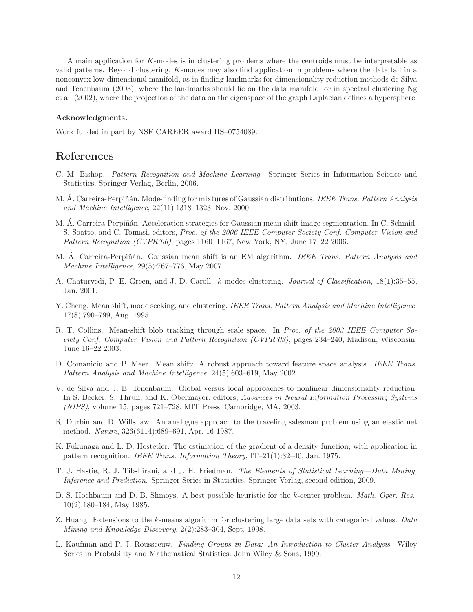A main application for K-modes is in clustering problems where the centroids must be interpretable as valid patterns. Beyond clustering, K-modes may also find application in problems where the data fall in a nonconvex low-dimensional manifold, as in finding landmarks for dimensionality reduction methods de Silva and Tenenbaum (2003), where the landmarks should lie on the data manifold; or in spectral clustering Ng et al. (2002), where the projection of the data on the eigenspace of the graph Laplacian defines a hypersphere.

### Acknowledgments.

Work funded in part by NSF CAREER award IIS–0754089.

# References

- C. M. Bishop. *Pattern Recognition and Machine Learning*. Springer Series in Information Science and Statistics. Springer-Verlag, Berlin, 2006.
- M. Á. Carreira-Perpiñán. Mode-finding for mixtures of Gaussian distributions. *IEEE Trans. Pattern Analysis and Machine Intelligence*, 22(11):1318–1323, Nov. 2000.
- M. Á. Carreira-Perpiñán. Acceleration strategies for Gaussian mean-shift image segmentation. In C. Schmid, S. Soatto, and C. Tomasi, editors, *Proc. of the 2006 IEEE Computer Society Conf. Computer Vision and Pattern Recognition (CVPR'06)*, pages 1160–1167, New York, NY, June 17–22 2006.
- M. A. Carreira-Perpiñán. Gaussian mean shift is an EM algorithm. *IEEE Trans. Pattern Analysis and Machine Intelligence*, 29(5):767–776, May 2007.
- A. Chaturvedi, P. E. Green, and J. D. Caroll. k-modes clustering. *Journal of Classification*, 18(1):35–55, Jan. 2001.
- Y. Cheng. Mean shift, mode seeking, and clustering. *IEEE Trans. Pattern Analysis and Machine Intelligence*, 17(8):790–799, Aug. 1995.
- R. T. Collins. Mean-shift blob tracking through scale space. In *Proc. of the 2003 IEEE Computer Society Conf. Computer Vision and Pattern Recognition (CVPR'03)*, pages 234–240, Madison, Wisconsin, June 16–22 2003.
- D. Comaniciu and P. Meer. Mean shift: A robust approach toward feature space analysis. *IEEE Trans. Pattern Analysis and Machine Intelligence*, 24(5):603–619, May 2002.
- V. de Silva and J. B. Tenenbaum. Global versus local approaches to nonlinear dimensionality reduction. In S. Becker, S. Thrun, and K. Obermayer, editors, *Advances in Neural Information Processing Systems (NIPS)*, volume 15, pages 721–728. MIT Press, Cambridge, MA, 2003.
- R. Durbin and D. Willshaw. An analogue approach to the traveling salesman problem using an elastic net method. *Nature*, 326(6114):689–691, Apr. 16 1987.
- K. Fukunaga and L. D. Hostetler. The estimation of the gradient of a density function, with application in pattern recognition. *IEEE Trans. Information Theory*, IT–21(1):32–40, Jan. 1975.
- T. J. Hastie, R. J. Tibshirani, and J. H. Friedman. *The Elements of Statistical Learning—Data Mining, Inference and Prediction*. Springer Series in Statistics. Springer-Verlag, second edition, 2009.
- D. S. Hochbaum and D. B. Shmoys. A best possible heuristic for the k-center problem. *Math. Oper. Res.*, 10(2):180–184, May 1985.
- Z. Huang. Extensions to the k-means algorithm for clustering large data sets with categorical values. *Data Mining and Knowledge Discovery*, 2(2):283–304, Sept. 1998.
- L. Kaufman and P. J. Rousseeuw. *Finding Groups in Data: An Introduction to Cluster Analysis*. Wiley Series in Probability and Mathematical Statistics. John Wiley & Sons, 1990.